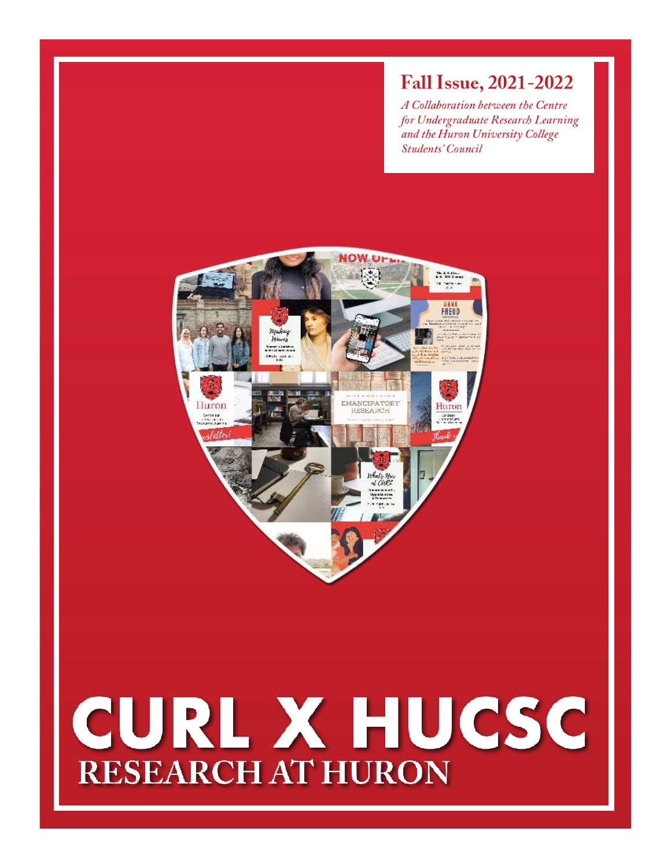## **Fall Issue, 2021-2022**

A Collaboration between the Centre for Undergraduate Research Learning and the Huron University College **Students' Council** 



# CURL X HUCSC **RESEARCH AT HURON**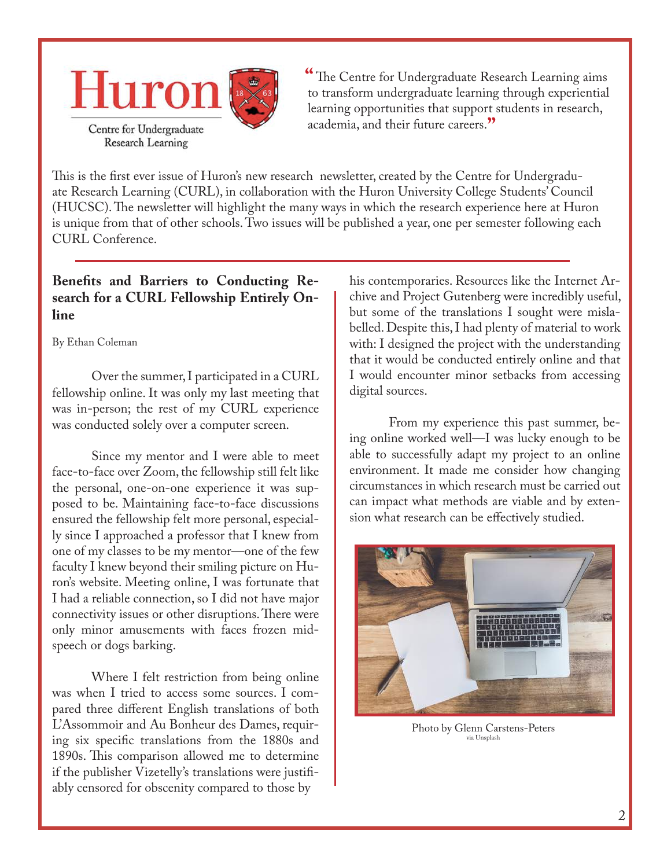

The Centre for Undergraduate Research Learning aims **"** to transform undergraduate learning through experiential learning opportunities that support students in research, academia, and their future careers. **"**

This is the first ever issue of Huron's new research newsletter, created by the Centre for Undergraduate Research Learning (CURL), in collaboration with the Huron University College Students' Council (HUCSC). The newsletter will highlight the many ways in which the research experience here at Huron is unique from that of other schools. Two issues will be published a year, one per semester following each CURL Conference.

#### **Benefits and Barriers to Conducting Research for a CURL Fellowship Entirely Online**

By Ethan Coleman

Over the summer, I participated in a CURL fellowship online. It was only my last meeting that was in-person; the rest of my CURL experience was conducted solely over a computer screen.

Since my mentor and I were able to meet face-to-face over Zoom, the fellowship still felt like the personal, one-on-one experience it was supposed to be. Maintaining face-to-face discussions ensured the fellowship felt more personal, especially since I approached a professor that I knew from one of my classes to be my mentor—one of the few faculty I knew beyond their smiling picture on Huron's website. Meeting online, I was fortunate that I had a reliable connection, so I did not have major connectivity issues or other disruptions. There were only minor amusements with faces frozen midspeech or dogs barking.

Where I felt restriction from being online was when I tried to access some sources. I compared three different English translations of both L'Assommoir and Au Bonheur des Dames, requiring six specific translations from the 1880s and 1890s. This comparison allowed me to determine if the publisher Vizetelly's translations were justifiably censored for obscenity compared to those by

his contemporaries. Resources like the Internet Archive and Project Gutenberg were incredibly useful, but some of the translations I sought were mislabelled. Despite this, I had plenty of material to work with: I designed the project with the understanding that it would be conducted entirely online and that I would encounter minor setbacks from accessing digital sources.

From my experience this past summer, being online worked well—I was lucky enough to be able to successfully adapt my project to an online environment. It made me consider how changing circumstances in which research must be carried out can impact what methods are viable and by extension what research can be effectively studied.



Photo by Glenn Carstens-Peters via Unsplash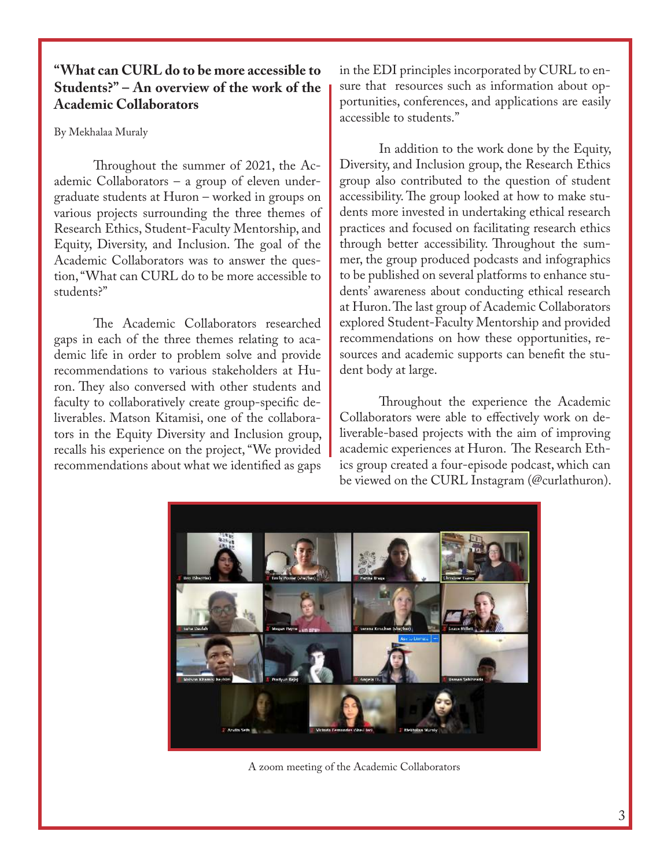#### **"What can CURL do to be more accessible to Students?" – An overview of the work of the Academic Collaborators**

By Mekhalaa Muraly

Throughout the summer of 2021, the Academic Collaborators – a group of eleven undergraduate students at Huron – worked in groups on various projects surrounding the three themes of Research Ethics, Student-Faculty Mentorship, and Equity, Diversity, and Inclusion. The goal of the Academic Collaborators was to answer the question, "What can CURL do to be more accessible to students?"

The Academic Collaborators researched gaps in each of the three themes relating to academic life in order to problem solve and provide recommendations to various stakeholders at Huron. They also conversed with other students and faculty to collaboratively create group-specific deliverables. Matson Kitamisi, one of the collaborators in the Equity Diversity and Inclusion group, recalls his experience on the project, "We provided recommendations about what we identified as gaps

in the EDI principles incorporated by CURL to ensure that resources such as information about opportunities, conferences, and applications are easily accessible to students."

In addition to the work done by the Equity, Diversity, and Inclusion group, the Research Ethics group also contributed to the question of student accessibility. The group looked at how to make students more invested in undertaking ethical research practices and focused on facilitating research ethics through better accessibility. Throughout the summer, the group produced podcasts and infographics to be published on several platforms to enhance students' awareness about conducting ethical research at Huron. The last group of Academic Collaborators explored Student-Faculty Mentorship and provided recommendations on how these opportunities, resources and academic supports can benefit the student body at large.

Throughout the experience the Academic Collaborators were able to effectively work on deliverable-based projects with the aim of improving academic experiences at Huron. The Research Ethics group created a four-episode podcast, which can be viewed on the CURL Instagram (@curlathuron).



A zoom meeting of the Academic Collaborators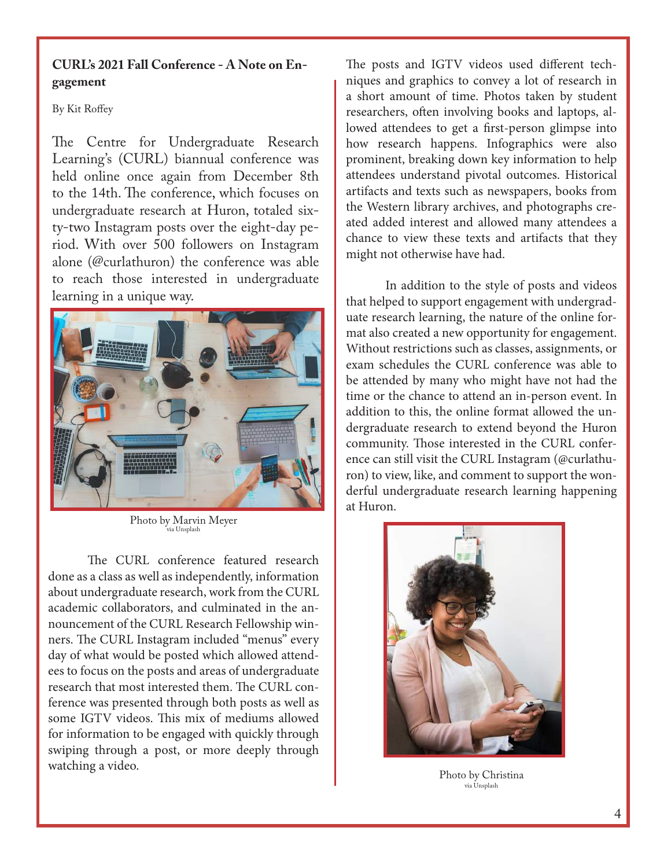#### **CURL's 2021 Fall Conference - A Note on Engagement**

By Kit Roffey

The Centre for Undergraduate Research Learning's (CURL) biannual conference was held online once again from December 8th to the 14th. The conference, which focuses on undergraduate research at Huron, totaled sixty-two Instagram posts over the eight-day period. With over 500 followers on Instagram alone (@curlathuron) the conference was able to reach those interested in undergraduate learning in a unique way.



Photo by Marvin Meyer via Unsplash

The CURL conference featured research done as a class as well as independently, information about undergraduate research, work from the CURL academic collaborators, and culminated in the announcement of the CURL Research Fellowship winners. The CURL Instagram included "menus" every day of what would be posted which allowed attendees to focus on the posts and areas of undergraduate research that most interested them. The CURL conference was presented through both posts as well as some IGTV videos. This mix of mediums allowed for information to be engaged with quickly through swiping through a post, or more deeply through watching a video.

The posts and IGTV videos used different techniques and graphics to convey a lot of research in a short amount of time. Photos taken by student researchers, often involving books and laptops, allowed attendees to get a first-person glimpse into how research happens. Infographics were also prominent, breaking down key information to help attendees understand pivotal outcomes. Historical artifacts and texts such as newspapers, books from the Western library archives, and photographs created added interest and allowed many attendees a chance to view these texts and artifacts that they might not otherwise have had.

In addition to the style of posts and videos that helped to support engagement with undergraduate research learning, the nature of the online format also created a new opportunity for engagement. Without restrictions such as classes, assignments, or exam schedules the CURL conference was able to be attended by many who might have not had the time or the chance to attend an in-person event. In addition to this, the online format allowed the undergraduate research to extend beyond the Huron community. Those interested in the CURL conference can still visit the CURL Instagram (@curlathuron) to view, like, and comment to support the wonderful undergraduate research learning happening at Huron.



Photo by Christina via Unsplash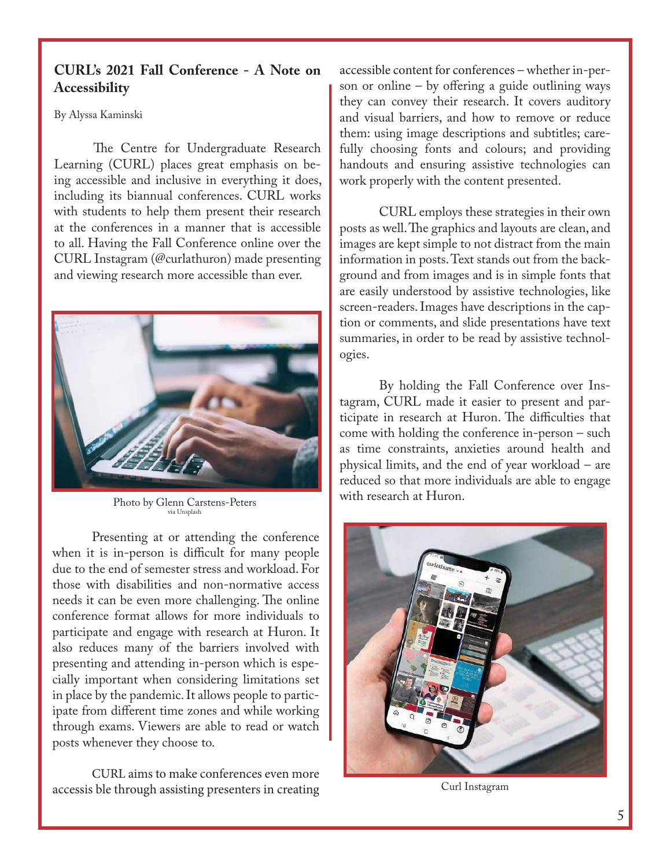#### **CURL's 2021 Fall Conference - A Note on Accessibility**

By Alyssa Kaminski

The Centre for Undergraduate Research Learning (CURL) places great emphasis on being accessible and inclusive in everything it does, including its biannual conferences. CURL works with students to help them present their research at the conferences in a manner that is accessible to all. Having the Fall Conference online over the CURL Instagram (@curlathuron) made presenting and viewing research more accessible than ever.



Photo by Glenn Carstens-Peters via Unsplash

Presenting at or attending the conference when it is in-person is difficult for many people due to the end of semester stress and workload. For those with disabilities and non-normative access needs it can be even more challenging. The online conference format allows for more individuals to participate and engage with research at Huron. It also reduces many of the barriers involved with presenting and attending in-person which is especially important when considering limitations set in place by the pandemic. It allows people to participate from different time zones and while working through exams. Viewers are able to read or watch posts whenever they choose to.

CURL aims to make conferences even more accessis ble through assisting presenters in creating accessible content for conferences – whether in-person or online  $-$  by offering a guide outlining ways they can convey their research. It covers auditory and visual barriers, and how to remove or reduce them: using image descriptions and subtitles; carefully choosing fonts and colours; and providing handouts and ensuring assistive technologies can work properly with the content presented.

CURL employs these strategies in their own posts as well. The graphics and layouts are clean, and images are kept simple to not distract from the main information in posts. Text stands out from the background and from images and is in simple fonts that are easily understood by assistive technologies, like screen-readers. Images have descriptions in the caption or comments, and slide presentations have text summaries, in order to be read by assistive technologies.

By holding the Fall Conference over Instagram, CURL made it easier to present and participate in research at Huron. The difficulties that come with holding the conference in-person – such as time constraints, anxieties around health and physical limits, and the end of year workload – are reduced so that more individuals are able to engage with research at Huron.



Curl Instagram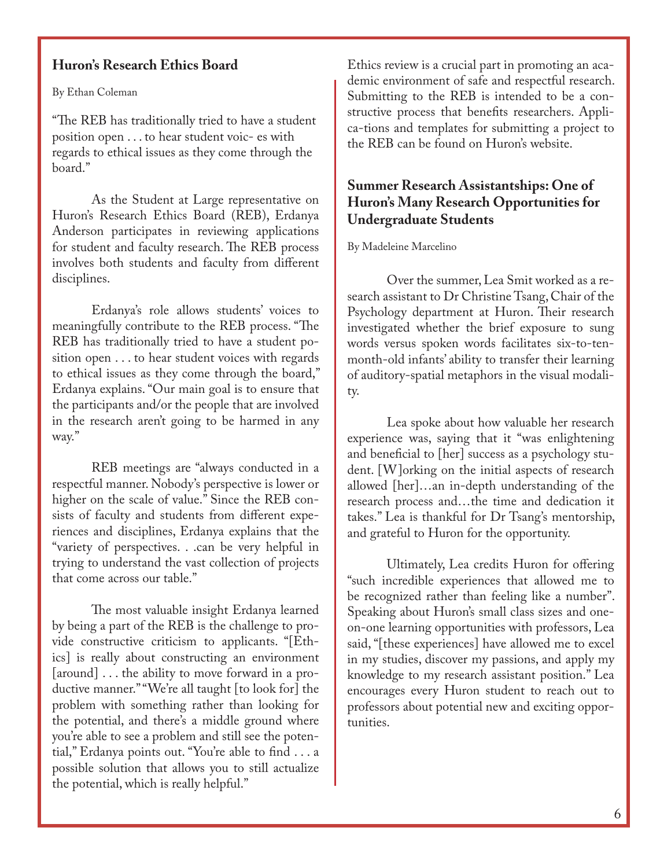#### **Huron's Research Ethics Board**

By Ethan Coleman

"The REB has traditionally tried to have a student position open . . . to hear student voic- es with regards to ethical issues as they come through the board."

As the Student at Large representative on Huron's Research Ethics Board (REB), Erdanya Anderson participates in reviewing applications for student and faculty research. The REB process involves both students and faculty from different disciplines.

Erdanya's role allows students' voices to meaningfully contribute to the REB process. "The REB has traditionally tried to have a student position open . . . to hear student voices with regards to ethical issues as they come through the board," Erdanya explains. "Our main goal is to ensure that the participants and/or the people that are involved in the research aren't going to be harmed in any way."

REB meetings are "always conducted in a respectful manner. Nobody's perspective is lower or higher on the scale of value." Since the REB consists of faculty and students from different experiences and disciplines, Erdanya explains that the "variety of perspectives. . .can be very helpful in trying to understand the vast collection of projects that come across our table."

The most valuable insight Erdanya learned by being a part of the REB is the challenge to provide constructive criticism to applicants. "[Ethics] is really about constructing an environment [around] . . . the ability to move forward in a productive manner." "We're all taught [to look for] the problem with something rather than looking for the potential, and there's a middle ground where you're able to see a problem and still see the potential," Erdanya points out. "You're able to find . . . a possible solution that allows you to still actualize the potential, which is really helpful."

Ethics review is a crucial part in promoting an academic environment of safe and respectful research. Submitting to the REB is intended to be a constructive process that benefits researchers. Applica-tions and templates for submitting a project to the REB can be found on Huron's website.

#### **Summer Research Assistantships: One of Huron's Many Research Opportunities for Undergraduate Students**

#### By Madeleine Marcelino

Over the summer, Lea Smit worked as a research assistant to Dr Christine Tsang, Chair of the Psychology department at Huron. Their research investigated whether the brief exposure to sung words versus spoken words facilitates six-to-tenmonth-old infants' ability to transfer their learning of auditory-spatial metaphors in the visual modality.

Lea spoke about how valuable her research experience was, saying that it "was enlightening and beneficial to [her] success as a psychology student. [W]orking on the initial aspects of research allowed [her]…an in-depth understanding of the research process and…the time and dedication it takes." Lea is thankful for Dr Tsang's mentorship, and grateful to Huron for the opportunity.

Ultimately, Lea credits Huron for offering "such incredible experiences that allowed me to be recognized rather than feeling like a number". Speaking about Huron's small class sizes and oneon-one learning opportunities with professors, Lea said, "[these experiences] have allowed me to excel in my studies, discover my passions, and apply my knowledge to my research assistant position." Lea encourages every Huron student to reach out to professors about potential new and exciting opportunities.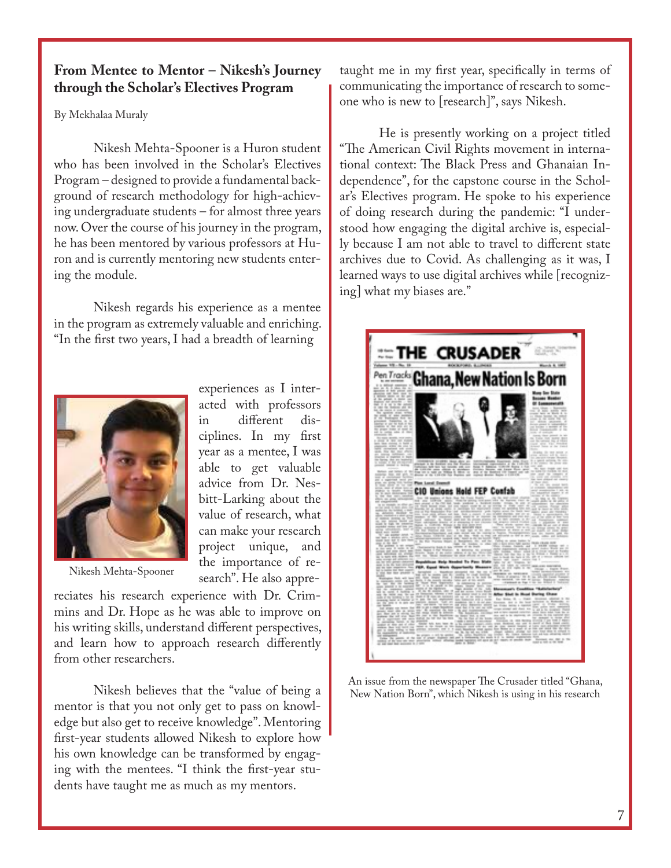#### **From Mentee to Mentor – Nikesh's Journey through the Scholar's Electives Program**

By Mekhalaa Muraly

Nikesh Mehta-Spooner is a Huron student who has been involved in the Scholar's Electives Program – designed to provide a fundamental background of research methodology for high-achieving undergraduate students – for almost three years now. Over the course of his journey in the program, he has been mentored by various professors at Huron and is currently mentoring new students entering the module.

Nikesh regards his experience as a mentee in the program as extremely valuable and enriching. "In the first two years, I had a breadth of learning



Nikesh Mehta-Spooner

experiences as I interacted with professors<br>in different disin different ciplines. In my first year as a mentee, I was able to get valuable advice from Dr. Nesbitt-Larking about the value of research, what can make your research project unique, and the importance of research". He also appre-

reciates his research experience with Dr. Crimmins and Dr. Hope as he was able to improve on his writing skills, understand different perspectives, and learn how to approach research differently from other researchers.

Nikesh believes that the "value of being a mentor is that you not only get to pass on knowledge but also get to receive knowledge". Mentoring first-year students allowed Nikesh to explore how his own knowledge can be transformed by engaging with the mentees. "I think the first-year students have taught me as much as my mentors.

taught me in my first year, specifically in terms of communicating the importance of research to someone who is new to [research]", says Nikesh.

He is presently working on a project titled "The American Civil Rights movement in international context: The Black Press and Ghanaian Independence", for the capstone course in the Scholar's Electives program. He spoke to his experience of doing research during the pandemic: "I understood how engaging the digital archive is, especially because I am not able to travel to different state archives due to Covid. As challenging as it was, I learned ways to use digital archives while [recognizing] what my biases are."



An issue from the newspaper The Crusader titled "Ghana, New Nation Born", which Nikesh is using in his research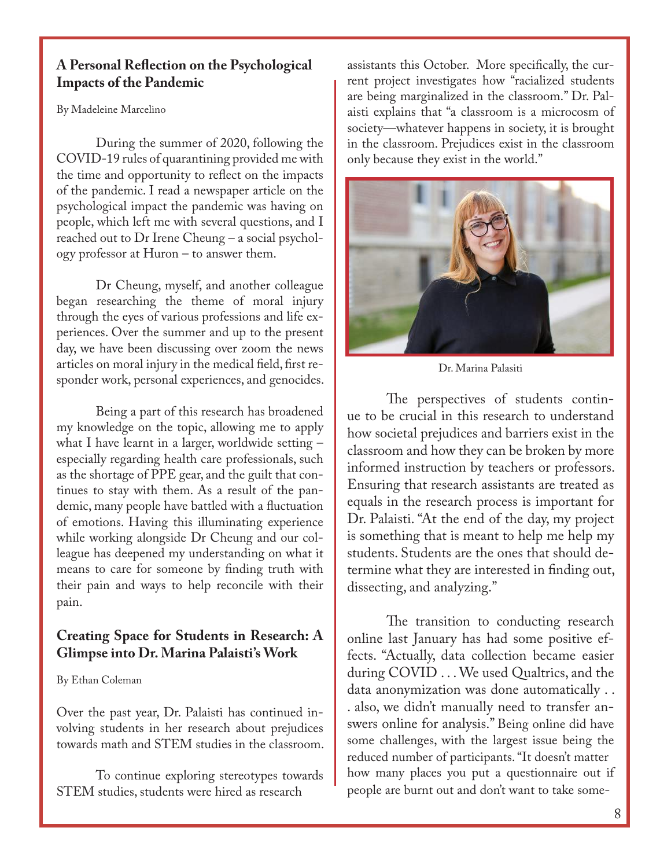#### **A Personal Reflection on the Psychological Impacts of the Pandemic**

By Madeleine Marcelino

During the summer of 2020, following the COVID-19 rules of quarantining provided me with the time and opportunity to reflect on the impacts of the pandemic. I read a newspaper article on the psychological impact the pandemic was having on people, which left me with several questions, and I reached out to Dr Irene Cheung – a social psychology professor at Huron – to answer them.

Dr Cheung, myself, and another colleague began researching the theme of moral injury through the eyes of various professions and life experiences. Over the summer and up to the present day, we have been discussing over zoom the news articles on moral injury in the medical field, first responder work, personal experiences, and genocides.

Being a part of this research has broadened my knowledge on the topic, allowing me to apply what I have learnt in a larger, worldwide setting – especially regarding health care professionals, such as the shortage of PPE gear, and the guilt that continues to stay with them. As a result of the pandemic, many people have battled with a fluctuation of emotions. Having this illuminating experience while working alongside Dr Cheung and our colleague has deepened my understanding on what it means to care for someone by finding truth with their pain and ways to help reconcile with their pain.

#### **Creating Space for Students in Research: A Glimpse into Dr. Marina Palaisti's Work**

By Ethan Coleman

Over the past year, Dr. Palaisti has continued involving students in her research about prejudices towards math and STEM studies in the classroom.

To continue exploring stereotypes towards STEM studies, students were hired as research

assistants this October. More specifically, the current project investigates how "racialized students are being marginalized in the classroom." Dr. Palaisti explains that "a classroom is a microcosm of society—whatever happens in society, it is brought in the classroom. Prejudices exist in the classroom only because they exist in the world."



Dr. Marina Palasiti

The perspectives of students continue to be crucial in this research to understand how societal prejudices and barriers exist in the classroom and how they can be broken by more informed instruction by teachers or professors. Ensuring that research assistants are treated as equals in the research process is important for Dr. Palaisti. "At the end of the day, my project is something that is meant to help me help my students. Students are the ones that should determine what they are interested in finding out, dissecting, and analyzing."

The transition to conducting research online last January has had some positive effects. "Actually, data collection became easier during COVID . . . We used Qualtrics, and the data anonymization was done automatically . . . also, we didn't manually need to transfer answers online for analysis." Being online did have some challenges, with the largest issue being the reduced number of participants. "It doesn't matter how many places you put a questionnaire out if people are burnt out and don't want to take some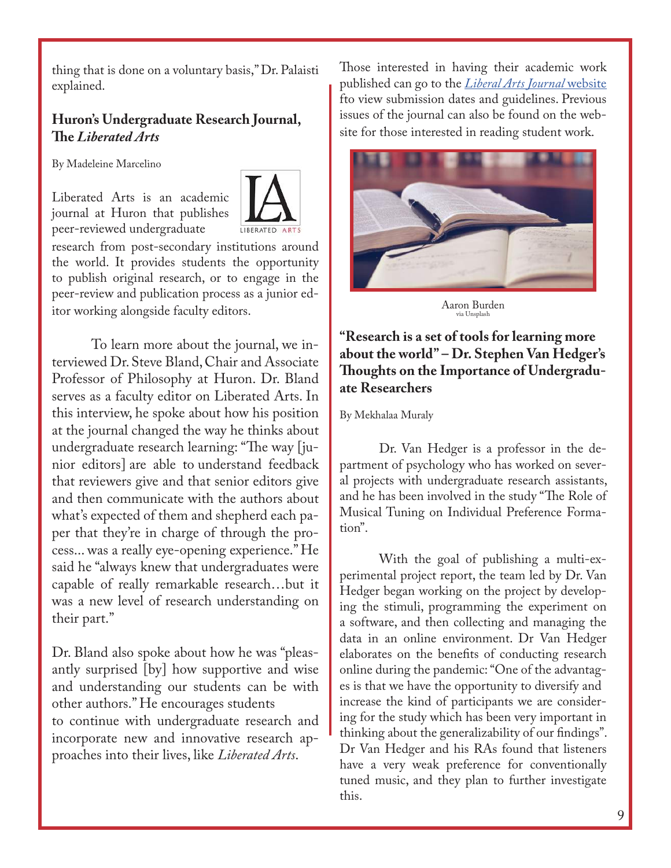thing that is done on a voluntary basis," Dr. Palaisti explained.

#### **Huron's Undergraduate Research Journal, The** *Liberated Arts*

By Madeleine Marcelino

Liberated Arts is an academic journal at Huron that publishes peer-reviewed undergraduate



research from post-secondary institutions around the world. It provides students the opportunity to publish original research, or to engage in the peer-review and publication process as a junior editor working alongside faculty editors.

To learn more about the journal, we interviewed Dr. Steve Bland, Chair and Associate Professor of Philosophy at Huron. Dr. Bland serves as a faculty editor on Liberated Arts. In this interview, he spoke about how his position at the journal changed the way he thinks about undergraduate research learning: "The way [junior editors] are able to understand feedback that reviewers give and that senior editors give and then communicate with the authors about what's expected of them and shepherd each paper that they're in charge of through the process... was a really eye-opening experience." He said he "always knew that undergraduates were capable of really remarkable research…but it was a new level of research understanding on their part."

Dr. Bland also spoke about how he was "pleasantly surprised [by] how supportive and wise and understanding our students can be with other authors." He encourages students to continue with undergraduate research and incorporate new and innovative research approaches into their lives, like *Liberated Arts*.

Those interested in having their academic work published can go to the *Liberal Arts Journal* website fto view submission dates and guidelines. Previous issues of the journal can also be found on the website for those interested in reading student work.



Aaron Burden via Unsplash

#### **"Research is a set of tools for learning more about the world" – Dr. Stephen Van Hedger's Thoughts on the Importance of Undergraduate Researchers**

By Mekhalaa Muraly

Dr. Van Hedger is a professor in the department of psychology who has worked on several projects with undergraduate research assistants, and he has been involved in the study "The Role of Musical Tuning on Individual Preference Formation".

With the goal of publishing a multi-experimental project report, the team led by Dr. Van Hedger began working on the project by developing the stimuli, programming the experiment on a software, and then collecting and managing the data in an online environment. Dr Van Hedger elaborates on the benefits of conducting research online during the pandemic: "One of the advantages is that we have the opportunity to diversify and increase the kind of participants we are considering for the study which has been very important in thinking about the generalizability of our findings". Dr Van Hedger and his RAs found that listeners have a very weak preference for conventionally tuned music, and they plan to further investigate this.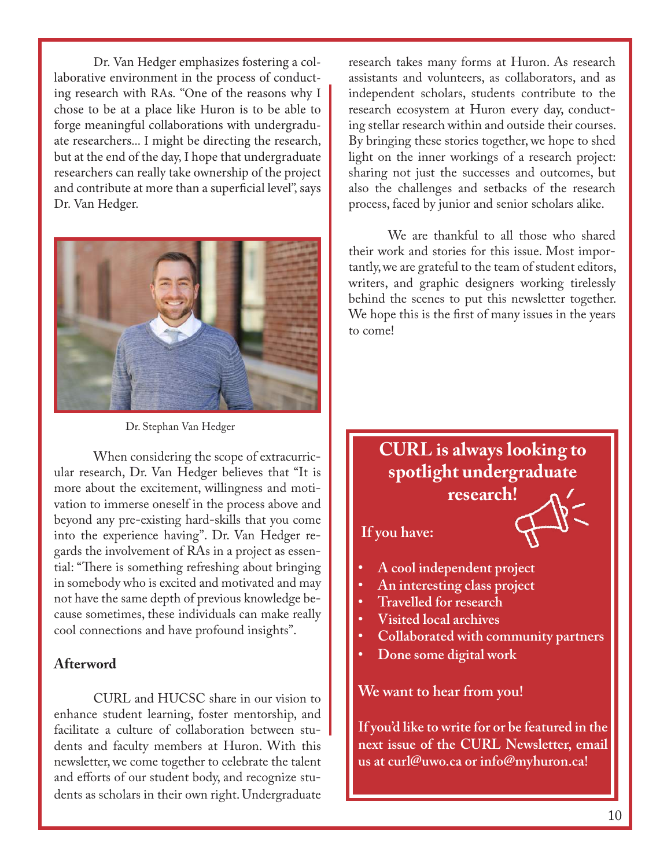Dr. Van Hedger emphasizes fostering a collaborative environment in the process of conducting research with RAs. "One of the reasons why I chose to be at a place like Huron is to be able to forge meaningful collaborations with undergraduate researchers... I might be directing the research, but at the end of the day, I hope that undergraduate researchers can really take ownership of the project and contribute at more than a superficial level", says Dr. Van Hedger.



Dr. Stephan Van Hedger

When considering the scope of extracurricular research, Dr. Van Hedger believes that "It is more about the excitement, willingness and motivation to immerse oneself in the process above and beyond any pre-existing hard-skills that you come into the experience having". Dr. Van Hedger regards the involvement of RAs in a project as essential: "There is something refreshing about bringing in somebody who is excited and motivated and may not have the same depth of previous knowledge because sometimes, these individuals can make really cool connections and have profound insights".

#### **Afterword**

CURL and HUCSC share in our vision to enhance student learning, foster mentorship, and facilitate a culture of collaboration between students and faculty members at Huron. With this newsletter, we come together to celebrate the talent and efforts of our student body, and recognize students as scholars in their own right. Undergraduate

research takes many forms at Huron. As research assistants and volunteers, as collaborators, and as independent scholars, students contribute to the research ecosystem at Huron every day, conducting stellar research within and outside their courses. By bringing these stories together, we hope to shed light on the inner workings of a research project: sharing not just the successes and outcomes, but also the challenges and setbacks of the research process, faced by junior and senior scholars alike.

We are thankful to all those who shared their work and stories for this issue. Most importantly, we are grateful to the team of student editors, writers, and graphic designers working tirelessly behind the scenes to put this newsletter together. We hope this is the first of many issues in the years to come!

### **CURL is always looking to spotlight undergraduate**

**research!** 

**If you have:**

- **• A cool independent project**
- **• An interesting class project**
- **• Travelled for research**
- **• Visited local archives**
- **• Collaborated with community partners**
- **• Done some digital work**

**We want to hear from you!** 

**If you'd like to write for or be featured in the next issue of the CURL Newsletter, email us at curl@uwo.ca or info@myhuron.ca!**